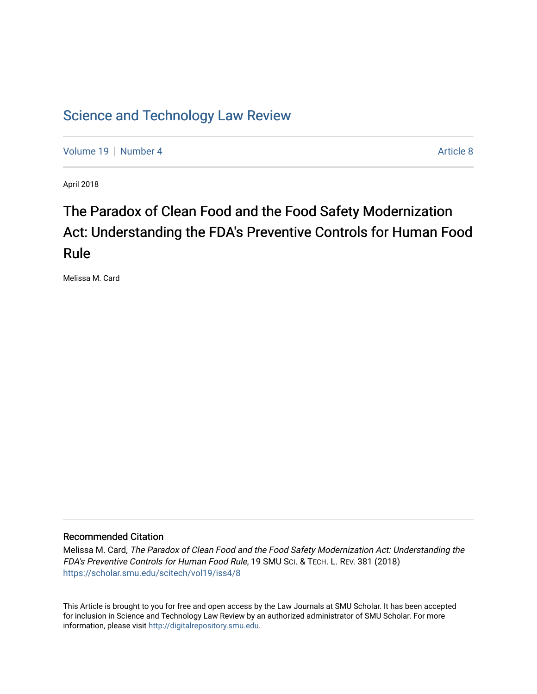# [Science and Technology Law Review](https://scholar.smu.edu/scitech)

[Volume 19](https://scholar.smu.edu/scitech/vol19) [Number 4](https://scholar.smu.edu/scitech/vol19/iss4) [Article 8](https://scholar.smu.edu/scitech/vol19/iss4/8) Article 8

April 2018

# The Paradox of Clean Food and the Food Safety Modernization Act: Understanding the FDA's Preventive Controls for Human Food Rule

Melissa M. Card

# Recommended Citation

Melissa M. Card, The Paradox of Clean Food and the Food Safety Modernization Act: Understanding the FDA's Preventive Controls for Human Food Rule, 19 SMU SCI. & TECH. L. REV. 381 (2018) [https://scholar.smu.edu/scitech/vol19/iss4/8](https://scholar.smu.edu/scitech/vol19/iss4/8?utm_source=scholar.smu.edu%2Fscitech%2Fvol19%2Fiss4%2F8&utm_medium=PDF&utm_campaign=PDFCoverPages)

This Article is brought to you for free and open access by the Law Journals at SMU Scholar. It has been accepted for inclusion in Science and Technology Law Review by an authorized administrator of SMU Scholar. For more information, please visit [http://digitalrepository.smu.edu](http://digitalrepository.smu.edu/).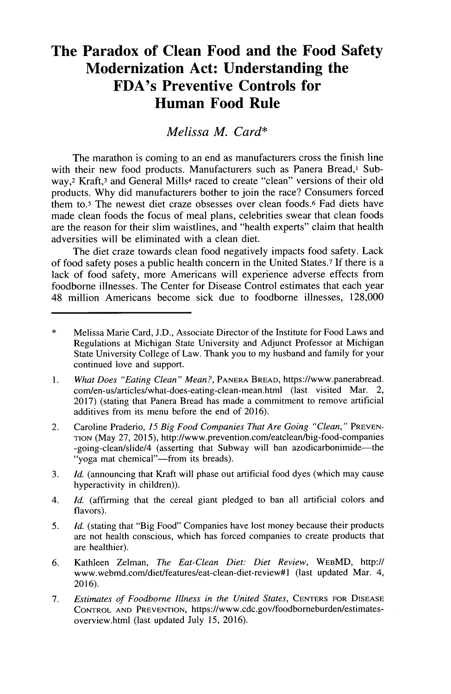# **The Paradox of Clean Food and the Food Safety Modernization Act: Understanding the FDA's Preventive Controls for Human Food Rule**

*Melissa M. Card\**

The marathon is coming to an end as manufacturers cross the finish line with their new food products. Manufacturers such as Panera Bread,<sup>1</sup> Subway,<sup>2</sup> Kraft,<sup>3</sup> and General Mills<sup>4</sup> raced to create "clean" versions of their old products. **Why did** manufacturers bother to join the race? Consumers forced them to.5 The newest diet craze obsesses over clean foods.6 Fad diets have made clean foods the focus of meal plans, celebrities swear that clean foods are the reason for their slim waistlines, and "health experts" claim that health adversities will be eliminated with a clean diet.

The diet craze towards clean food negatively impacts food safety. Lack of food safety poses a public health concern in the United States.7 **If** there is a lack of food safety, more Americans will experience adverse effects from foodborne illnesses. The Center for Disease Control estimates that each year 48 million Americans become sick due to foodborne illnesses, **128,000**

- **I.** *What Does "Eating Clean" Mean?,* **PANERA BREAD,** https://www.panerabread. com/en-us/articles/what-does-eating-clean-mean.html (last visited Mar. 2, **2017)** (stating that Panera Bread has made a commitment to remove artificial additives from its menu before the end of **2016).**
- 2. Caroline Praderio, *15 Big Food Companies That Are Going "Clean,"* **PREVEN-TION** (May **27, 2015),** http://www.prevention.com/eatclean/big-food-companies -going-clean/slide/4 (asserting that Subway will ban azodicarbonimide-the "yoga mat chemical"-from its breads).
- **3.** *Id.* (announcing that Kraft will phase out artificial food dyes (which may cause hyperactivity in children)).
- 4. *Id.* (affirming that the cereal giant pledged to ban all artificial colors and flavors).
- **5.** *Id.* (stating that "Big Food" Companies have lost money because their products are not health conscious, which has forced companies to create products that are healthier).
- **6.** Kathleen Zelman, *The Eat-Clean Diet: Diet Review,* **WEBMD,** http:/ www.webmd.com/diet/features/eat-clean-diet-review#1 (last updated Mar. 4, **2016).**
- **7.** *Estimates of Foodborne Illness in the United States,* **CENTERS FOR DISEASE CONTROL AND PREVENTION,** https://www.cdc.gov/foodbomeburden/estimatesoverview.html (last updated July **15, 2016).**

<sup>\*</sup> Melissa Marie Card, **J.D.,** Associate Director of the Institute for Food Laws and Regulations at Michigan State University and Adjunct Professor at Michigan State University College of Law. Thank you to my husband and family for your continued love and support.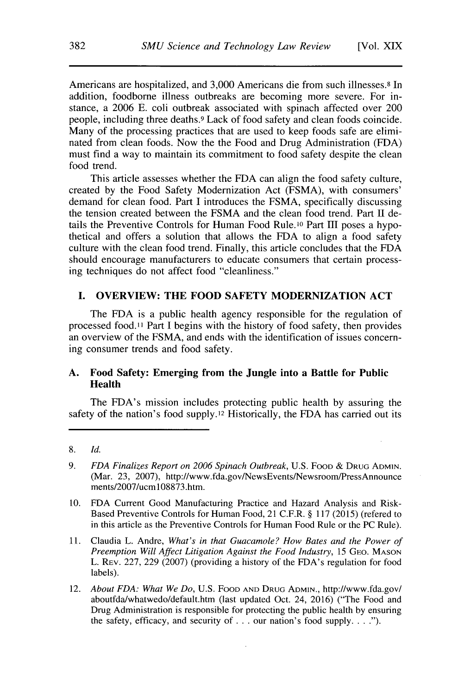Americans are hospitalized, and **3,000** Americans die from such illnesses.8 In addition, foodborne illness outbreaks are becoming more severe. For instance, a **2006 E.** coli outbreak associated with spinach affected over 200 people, including three deaths.9 Lack of food safety and clean foods coincide. Many of the processing practices that are used to keep foods safe are eliminated from clean foods. Now the the Food and Drug Administration **(FDA)** must find a way to maintain its commitment to food safety despite the clean food trend.

This article assesses whether the **FDA** can align the food safety culture, created **by** the Food Safety Modernization Act **(FSMA),** with consumers' demand for clean food. Part **I** introduces the **FSMA,** specifically discussing the tension created between the **FSMA** and the clean food trend. Part II details the Preventive Controls for Human Food Rule.<sup>10</sup> Part III poses a hypothetical and offers a solution that allows the **FDA** to align a food safety culture with the clean food trend. Finally, this article concludes that the **FDA** should encourage manufacturers to educate consumers that certain processing techniques do not affect food "cleanliness."

# **I. OVERVIEW: THE FOOD SAFETY MODERNIZATION ACT**

The **FDA** is a public health agency responsible for the regulation of processed food.11 Part **I** begins with the history of food safety, then provides an overview of the **FSMA,** and ends with the identification of issues concerning consumer trends and food safety.

## **A. Food Safety: Emerging from the Jungle into a Battle for Public Health**

The FDA's mission includes protecting public health **by** assuring the safety of the nation's food **supply.12** Historically, the **FDA** has carried out its

- **10. FDA** Current Good Manufacturing Practice and Hazard Analysis and Risk-Based Preventive Controls for Human Food, 21 C.F.R. **§ 117 (2015)** (refered to in this article as the Preventive Controls for Human Food Rule or the **PC** Rule).
- **11.** Claudia L. Andre, *What's in that Guacamole? How Bates and the Power of Preemption Will Affect Litigation Against the Food Industry, 15* **GEO. MASON** L. REV. **227, 229 (2007)** (providing a history of the FDA's regulation for food labels).
- 12. *About FDA: What We Do,* **U.S.** FOOD **AND** DRUG ADMIN., http://www.fda.gov/ aboutfdalwhatwedo/default.htm (last updated Oct. 24, **2016)** ("The Food and Drug Administration is responsible for protecting the public health **by** ensuring the safety, efficacy, and security of **. .** our nation's food supply. **. . .").**

**<sup>8.</sup>** *Id.*

*<sup>9.</sup> FDA Finalizes Report on 2006 Spinach Outbreak,* **U.S.** FOOD *&* **DRUG ADMIN.** (Mar. **23, 2007),** http://www.fda.gov/NewsEvents/Newsroom/PressAnnounce ments/2007/ucml08873.htm.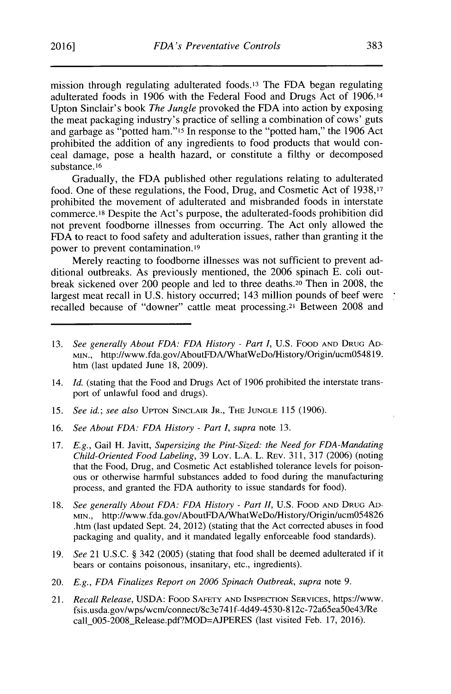mission through regulating adulterated foods.13 The **FDA** began regulating adulterated foods in **1906** with the Federal Food and Drugs Act of 1906.14 Upton Sinclair's book *The Jungle* provoked the **FDA** into action **by** exposing the meat packaging industry's practice of selling a combination of cows' guts and garbage as "potted ham."'5 In response to the "potted ham," the **1906** Act prohibited the addition of any ingredients to food products that would conceal damage, pose a health hazard, or constitute a filthy or decomposed substance. **<sup>16</sup>**

Gradually, the **FDA** published other regulations relating to adulterated food. One of these regulations, the Food, Drug, and Cosmetic Act of **1938,17** prohibited the movement of adulterated and misbranded foods in interstate commerce.<sup>18</sup>Despite the Act's purpose, the adulterated-foods prohibition did not prevent foodborne illnesses from occurring. The Act only allowed the **FDA** to react to food safety and adulteration issues, rather than granting it the power to prevent contamination.19

Merely reacting to foodborne illnesses was not sufficient to prevent additional outbreaks. As previously mentioned, the **2006** spinach **E.** coli outbreak sickened over 200 people and led to three deaths.20 Then in **2008,** the largest meat recall in **U.S.** history occurred; 143 million pounds of beef were recalled because of "downer" cattle meat processing.21 Between **2008** and

- 14. *Id.* (stating that the Food and Drugs Act of **1906** prohibited the interstate transport of unlawful food and drugs).
- **15.** *See id.; see also* UPTON **SINCLAIR** JR., THE **JUNGLE 115 (1906).**
- **16.** *See About FDA: FDA History* **-** *Part I, supra* note **13.**
- **17.** *E.g.,* Gail H. Javitt, *Supersizing the Pint-Sized: the Need for FDA-Mandating Child-Oriented Food Labeling,* **39** Loy. **L.A.** L. REV. **311, 317 (2006)** (noting that the Food, Drug, and Cosmetic Act established tolerance levels for poisonous or otherwise harmful substances added to food during the manufacturing process, and granted the **FDA** authority to issue standards for food).
- **18.** *See generally About FDA: FDA History* **-** *Part II,* **U.S.** FOOD **AND DRUG AD-**MIN., http://www.fda.gov/AboutFDA/WhatWeDo/History/Origin/ucm054826 .htm (last updated Sept. 24, 2012) (stating that the Act corrected abuses in food packaging and quality, and it mandated legally enforceable food standards).
- **19.** *See* 21 **U.S.C. §** 342 **(2005)** (stating that food shall be deemed adulterated if it bears or contains poisonous, insanitary, etc., ingredients).
- 20. *E.g., FDA Finalizes Report on 2006 Spinach Outbreak, supra* note **9.**
- 21. *Recall Release,* **USDA:** FOOD SAFETY **AND INSPECTION SERVICES,** https://www. fsis.usda.gov/wps/wcm/connect/8c3e741f-4d49-4530-812c-72a65ea50e43/Re call 005-2008\_Release.pdf?MOD=AJPERES (last visited Feb. 17, 2016).

**<sup>13.</sup>** *See generally About FDA: FDA History* **-** *Part I,* **U.S.** FOOD **AND DRUG AD-**MIN., http://www.fda.gov/AboutFDA/WhatWeDo/History/Origin/ucm054819. htm (last updated June **18, 2009).**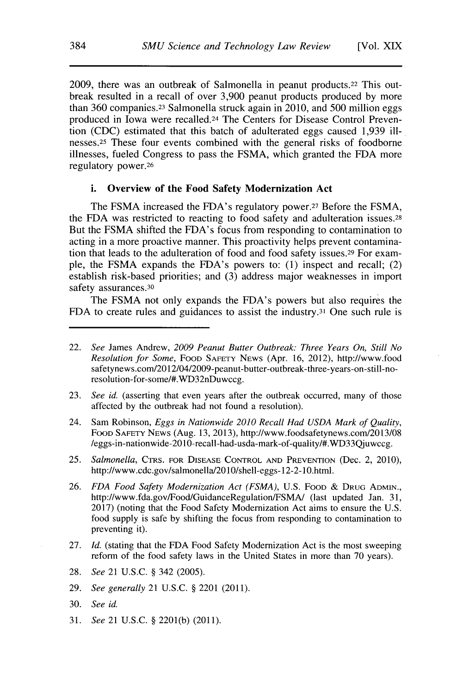**2009,** there was an outbreak of Salmonella in peanut products.22 This outbreak resulted in a recall of over **3,900** peanut products produced **by** more than **360** companies.23 Salmonella struck again in 2010, and **500** million eggs produced in Iowa were recalled.24 The Centers for Disease Control Prevention **(CDC)** estimated that this batch of adulterated eggs caused **1,939** illnesses.<sup>25</sup> These four events combined with the general risks of foodborne illnesses, fueled Congress to pass the **FSMA,** which granted the **FDA** more regulatory power. <sup>26</sup>

#### **i. Overview of the Food Safety Modernization Act**

The **FSMA** increased the FDA's regulatory power.<sup>27</sup>Before the **FSMA,** the **FDA** was restricted to reacting to food safety and adulteration issues.28 But the **FSMA** shifted the FDA's focus from responding to contamination to acting in a more proactive manner. This proactivity helps prevent contamination that leads to the adulteration of food and food safety issues.29 For example, the **FSMA** expands the FDA's powers to: **(1)** inspect and recall; (2) establish risk-based priorities; and **(3)** address major weaknesses in import safety assurances. <sup>30</sup>

The **FSMA** not only expands the FDA's powers but also requires the **FDA** to create rules and guidances to assist the industry.31 One such rule is

- **23.** *See* id. (asserting that even years after the outbreak occurred, many of those affected **by** the outbreak had not found a resolution).
- 24. Sam Robinson, *Eggs in Nationwide 2010 Recall Had USDA Mark of Quality,* **FOOD SAFETY NEWS** (Aug. **13, 2013),** http://www.foodsafetynews.com/2013/08 /eggs-in-nationwide-2010-recall-had-usda-mark-of-quality/#.WD33Qjuwccg.
- **25.** *Salmonella,* CTRS. **FOR DISEASE CONTROL AND PREVENTION** (Dec. 2, 2010), http://www.cdc.gov/salmonella/2010/shell-eggs-12-2-10.html.
- **26.** *FDA Food Safety Modernization Act (FSMA),* **U.S.** FOOD **& DRUG ADMIN.,** http://www.fda.gov/Food/GuidanceRegulation/FSMA/ (last updated Jan. **31, 2017)** (noting that the Food Safety Modernization Act aims to ensure the **U.S.** food supply is safe **by** shifting the focus from responding to contamination to preventing it).
- **27.** *Id.* (stating that the **FDA** Food Safety Modernization Act is the most sweeping reform of the food safety laws in the United States in more than **70** years).
- **28.** *See* 21 **U.S.C. §** 342 **(2005).**
- **29.** *See generally* 21 **U.S.C. §** 2201 (2011).
- **30.** *See id.*
- **31.** *See* 21 **U.S.C. § 2201(b) (2011).**

<sup>22.</sup> *See* James Andrew, *2009 Peanut Butter Outbreak: Three Years On, Still No Resolution for Some,* **FOOD SAFETY NEWS** (Apr. **16,** 2012), http://www.food safetynews.com/20 12/04/2009-peanut-butter-outbreak-three-years-on-still-noresolution-for-some/#.WD32nDuwccg.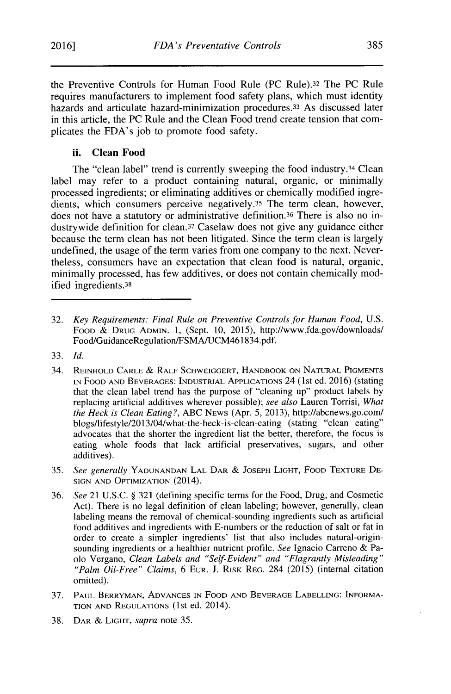the Preventive Controls for Human Food Rule (PC Rule).<sup>32</sup> The PC Rule requires manufacturers to implement food safety plans, which must identity hazards and articulate hazard-minimization procedures.<sup>33</sup> As discussed later in this article, the **PC** Rule and the Clean Food trend create tension that complicates the FDA's **job** to promote food safety.

# **ii. Clean Food**

The "clean label" trend is currently sweeping the food industry.<sup>34</sup> Clean label may refer to a product containing natural, organic, or minimally processed ingredients; or eliminating additives or chemically modified ingredients, which consumers perceive negatively.<sup>35</sup> The term clean, however, does not have a statutory or administrative definition.<sup>36</sup> There is also no industrywide definition for clean. <sup>3</sup> 7 Caselaw does not give any guidance either because the term clean has not been litigated. Since the term clean is largely undefined, the usage of the term varies from one company to the next. Nevertheless, consumers have an expectation that clean food is natural, organic, minimally processed, has few additives, or does not contain chemically modified ingredients.<sup>38</sup>

- **37. PAUL BERRYMAN, ADVANCES IN** FOOD **AND BEVERAGE LABELLING:** INFORMA-**TION AND REGULATIONS** (1st ed. 2014).
- **38. DAR & LIGHT,** *supra* note **35.**

**<sup>32.</sup>** *Key Requirements: Final Rule on Preventive Controls for Human Food, U.S.* **FOOD & DRUG ADMIN. 1,** (Sept. **10, 2015),** http://www.fda.gov/downloads/ Food/GuidanceRegulation/FSMA/UCM461834.pdf.

**<sup>33.</sup>** *Id.*

<sup>34.</sup> **REINHOLD CARLE & RALF** SCHWEIGGERT, HANDBOOK **ON NATURAL PIGMENTS IN** FOOD **AND** BEVERAGES: **INDUSTRIAL** APPLICATIONS 24 (1st ed. **2016)** (stating that the clean label trend has the purpose of "cleaning up" product labels **by** replacing artificial additives wherever possible); *see also* Lauren Torrisi, *What the Heck is Clean Eating?,* **ABC NEWS** (Apr. **5, 2013),** http://abcnews.go.com/ blogs/lifestyle/2013/04/what-the-heck-is-clean-eating (stating "clean eating" advocates that the shorter the ingredient list the better, therefore, the focus is eating whole foods that lack artificial preservatives, sugars, and other additives).

**<sup>35.</sup>** *See generally* **YADUNANDAN LAL** DAR **& JOSEPH** LIGHT, FOOD TEXTURE **DE-SIGN AND** OPTIMIZATION (2014).

**<sup>36.</sup>** *See* 21 **U.S.C. § 321** (defining specific terms for the Food, Drug, and Cosmetic Act). There is no legal definition of clean labeling; however, generally, clean labeling means the removal of chemical-sounding ingredients such as artificial food additives and ingredients with E-numbers or the reduction of salt or fat in order to create a simpler ingredients' list that also includes natural-originsounding ingredients or a healthier nutrient profile. *See* Ignacio Carreno **&** Paolo Vergano, *Clean Labels and "Self-Evident" and "Flagrantly Misleading" "Palm Oil-Free" Claims, 6* **EUR. J. RISK REG.** 284 **(2015)** (internal citation omitted).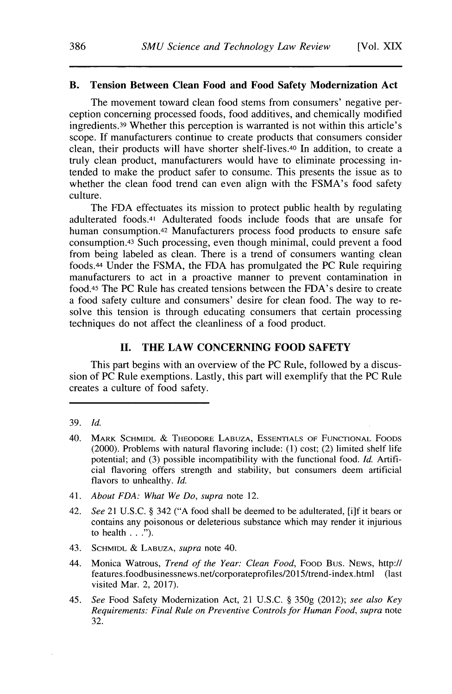## **B. Tension Between Clean Food and Food Safety Modernization Act**

The movement toward clean food stems from consumers' negative perception concerning processed foods, food additives, and chemically modified ingredients.39 Whether this perception is warranted is not within this article's scope. **If** manufacturers continue to create products that consumers consider clean, their products will have shorter shelf-lives.40 In addition, to create a truly clean product, manufacturers would have to eliminate processing intended to make the product safer to consume. This presents the issue as to whether the clean food trend can even align with the FSMA's food safety culture.

The **FDA** effectuates its mission to protect public health **by** regulating adulterated foods.41 Adulterated foods include foods that are unsafe for human consumption.42 Manufacturers process food products to ensure safe consumption.43 Such processing, even though minimal, could prevent a food from being labeled as clean. There is a trend of consumers wanting clean foods.44 Under the **FSMA,** the **FDA** has promulgated the **PC** Rule requiring manufacturers to act in a proactive manner to prevent contamination in food.45 The **PC** Rule has created tensions between the FDA's desire to create a food safety culture and consumers' desire for clean food. The way to resolve this tension is through educating consumers that certain processing techniques do not affect the cleanliness of a food product.

# **II. THE LAW CONCERNING FOOD SAFETY**

This part begins with an overview of the **PC** Rule, followed **by** a **discus**sion of **PC** Rule exemptions. Lastly, this part will exemplify that the **PC** Rule creates a culture of food safety.

- **39.** *Id.*
- 40. MARK SCHMIDL & THEODORE LABUZA, ESSENTIALS OF FUNCTIONAL FOODS (2000). Problems with natural flavoring include: **(1)** cost; (2) limited shelf life potential; and **(3)** possible incompatibility with the functional food. *Id.* Artificial flavoring offers strength and stability, but consumers deem artificial flavors to unhealthy. *Id.*
- 41. *About FDA: What We Do, supra* **note** 12.
- 42. *See* 21 **U.S.C. §** 342 **("A** food shall be deemed to be adulterated, [i]f it bears or contains any poisonous or deleterious substance which may render it injurious to health **. . .").**
- 43. **SCHMIDL & LABUZA,** *supra* note 40.
- 44. Monica Watrous, *Trend of the Year: Clean Food,* **FOOD Bus. NEws,** http:// features.foodbusinessnews.net/corporateprofiles/2015/trend-index.html (last **visited Mar.** 2, **2017).**
- *45. See* **Food Safety Modernization Act,** 21 **U.S.C. § 350g** (2012); *see also Key Requirements: Final Rule on Preventive Controls for Human Food, supra note* **32.**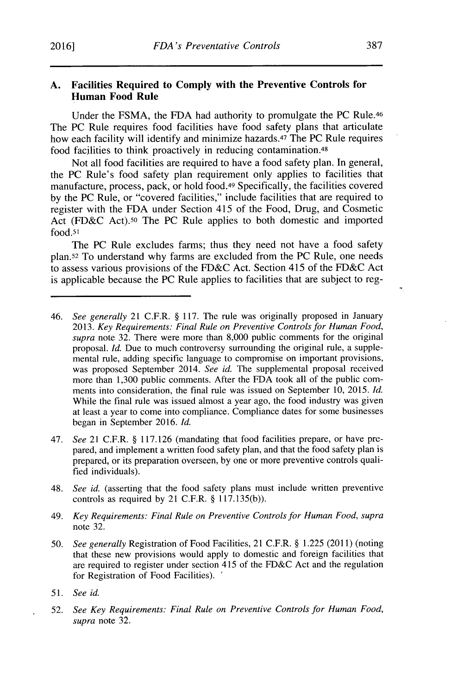#### **A. Facilities Required to Comply with the Preventive Controls for Human Food Rule**

Under the **FSMA,** the **FDA** had authority to promulgate the **PC** Rule.46 The **PC** Rule requires food facilities have food safety plans that articulate how each facility will identify and minimize hazards.47 The **PC** Rule requires food facilities to think proactively in reducing contamination.48

Not all food facilities are required to have a food safety plan. In general, the **PC** Rule's food safety plan requirement only applies to facilities that manufacture, process, pack, or hold food.49 Specifically, the facilities covered **by** the **PC** Rule, or "covered facilities," include facilities that are required to register with the **FDA** under Section *415* of the Food, Drug, and Cosmetic Act **(FD&C** *Act).50* The **PC** Rule applies to both domestic and imported food.51

The **PC** Rule excludes farms; thus they need not have a food safety plan.52 To understand why farms are excluded from the **PC** Rule, one needs to assess various provisions of the **FD&C** Act. Section 415 of the **FD&C** Act is applicable because the **PC** Rule applies to facilities that are subject to reg-

- 47. *See* 21 C.F.R. **§ 117.126** (mandating that food facilities prepare, or have prepared, and implement a written food safety plan, and that the food safety plan is prepared, or its preparation overseen, **by** one or more preventive controls qualified individuals).
- 48. *See id.* (asserting that the food safety plans must include written preventive controls as required **by** 21 C.F.R. **§ 117.135(b)).**
- 49. *Key Requirements: Final Rule on Preventive Controls for Human Food, supra* note **32.**
- *50. See generally* Registration of Food Facilities, 21 C.F.R. **§ 1.225** (2011) (noting that these new provisions would apply to domestic and foreign facilities that are required to register under section 415 of the **FD&C** Act and the regulation for Registration of Food Facilities).
- *51. See id.*
- **52.** *See Key Requirements: Final Rule on Preventive Controls for Human Food, supra* note **32.**

<sup>46.</sup> *See generally* 21 C.F.R. **§ 117.** The rule was originally proposed in January *2013. Key Requirements: Final Rule on Preventive Controls for Human Food, supra* note **32.** There were more than **8,000** public comments for the original proposal. *Id.* Due to much controversy surrounding the original rule, a supplemental rule, adding specific language to compromise on important provisions, was proposed September 2014. *See id.* The supplemental proposal received more than **1,300** public comments. After the **FDA** took all of the public comments into consideration, the final rule was issued on September **10, 2015.** *Id.* While the final rule was issued almost a year ago, the food industry was given at least a year to come into compliance. Compliance dates for some businesses began in September **2016.** *Id.*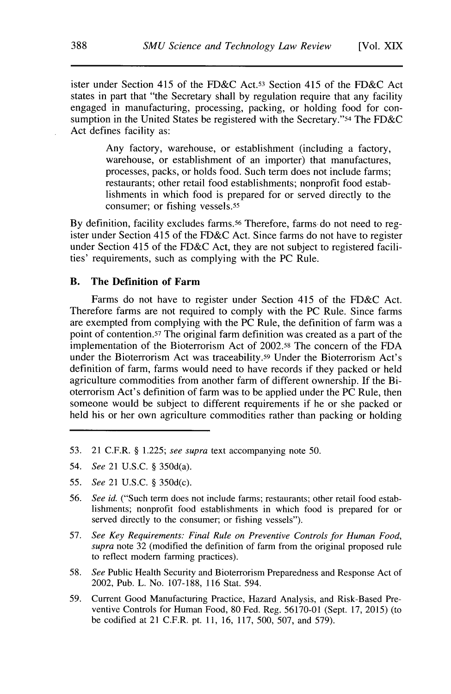ister under Section 415 of the **FD&C** Act.53 Section 415 of the **FD&C** Act states in part that "the Secretary shall **by** regulation require that any facility engaged in manufacturing, processing, packing, or holding food for consumption in the United States be registered with the Secretary."54 The **FD&C** Act defines facility as:

> Any factory, warehouse, or establishment (including a factory, warehouse, or establishment of an importer) that manufactures, processes, packs, or holds food. Such term does not include farms; restaurants; other retail food establishments; nonprofit food establishments in which food is prepared for or served directly to the consumer; or fishing vessels.55

**By** definition, facility excludes farms.56 Therefore, farms do not need to register under Section 415 of the **FD&C** Act. Since farms do not have to register under Section 415 of the **FD&C** Act, they are not subject to registered facilities' requirements, such as complying with the **PC** Rule.

#### B. **The Definition of Farm**

Farms do not have to register under Section 415 of the **FD&C** Act. Therefore farms are not required to comply with the **PC** Rule. Since farms are exempted from complying with the **PC** Rule, the definition of farm was a point of contention.<sup>57</sup> The original farm definition was created as a part of the implementation of the Bioterrorism Act of **2002.58** The concern of the **FDA** under the Bioterrorism Act was traceability.59 Under the Bioterrorism Act's definition of farm, farms would need to have records if they packed or held agriculture commodities from another farm of different ownership. **If** the Bioterrorism Act's definition of farm was to be applied under the **PC** Rule, then someone would be subject to different requirements if he or she packed or held his or her own agriculture commodities rather than packing or holding

- **53.** 21 C.F.R. **§** *1.225; see supra* text accompanying note **50.**
- 54. *See* 21 **U.S.C. §** 350d(a).
- **55.** *See* 21 **U.S.C. §** 350d(c).
- *56. See id.* ("Such term does not include farms; restaurants; other retail food establishments; nonprofit food establishments in which food is prepared for or served directly to the consumer; or fishing vessels").
- **57.** *See Key Requirements: Final Rule on Preventive Controls for Human Food, supra* note **32** (modified the definition of farm from the original proposed rule to reflect modem farming practices).
- **58.** *See* Public Health Security and Bioterrorism Preparedness and Response Act of 2002, Pub. L. No. **107-188, 116** Stat. 594.
- **59.** Current Good Manufacturing Practice, Hazard Analysis, and Risk-Based Preventive Controls for Human Food, **80** Fed. Reg. **56170-01** (Sept. **17, 2015)** (to be codified at 21 C.F.R. pt. **11, 16, 117, 500, 507,** and **579).**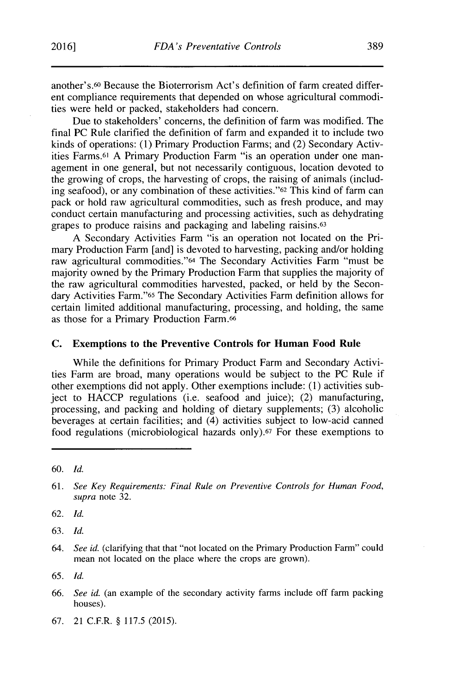another's.60 Because the Bioterrorism Act's definition of farm created different compliance requirements that depended on whose agricultural commodities were held or packed, stakeholders had concern.

Due to stakeholders' concerns, the definition of farm was modified. The final **PC** Rule clarified the definition of farm and expanded it to include two kinds of operations: **(1)** Primary Production Farms; and (2) Secondary Activities Farms.<sup>6</sup> 1 **A** Primary Production Farm "is an operation under one management in one general, but not necessarily contiguous, location devoted to the growing of crops, the harvesting of crops, the raising of animals (including seafood), or any combination of these activities."62 This kind of farm can pack or hold raw agricultural commodities, such as fresh produce, and may conduct certain manufacturing and processing activities, such as dehydrating grapes to produce raisins and packaging and labeling raisins.63

**A** Secondary Activities Farm "is an operation not located on the Primary Production Farm [and] is devoted to harvesting, packing and/or holding raw agricultural commodities."<sup>64</sup> The Secondary Activities Farm "must be majority owned **by** the Primary Production Farm that supplies the majority of the raw agricultural commodities harvested, packed, or held **by** the Secondary Activities Farm."65 The Secondary Activities Farm definition allows for certain limited additional manufacturing, processing, and holding, the same as those for a Primary Production Farm.66

#### **C. Exemptions to the Preventive Controls for Human Food Rule**

While the definitions for Primary Product Farm and Secondary Activities Farm are broad, many operations would be subject to the **PC** Rule if other exemptions did not apply. Other exemptions include: **(1)** activities subject to **HACCP** regulations (i.e. seafood and juice); (2) manufacturing, processing, and packing and holding of dietary supplements; **(3)** alcoholic beverages at certain facilities; and (4) activities subject to low-acid canned food regulations (microbiological hazards only).<sup>67</sup> For these exemptions to

**62.** *Id.*

**63.** *Id.*

**65.** *Id.*

- **66.** *See id.* (an example of the secondary activity farms include off farm packing houses).
- **67.** 21 C.F.R. **§ 117.5 (2015).**

**<sup>60.</sup>** *Id.*

**<sup>61.</sup>** *See Key Requirements: Final Rule on Preventive Controls for Human Food, supra* note **32.**

<sup>64.</sup> *See id.* (clarifying that that "not located on the Primary Production Farm" could mean not located on the place where the crops are grown).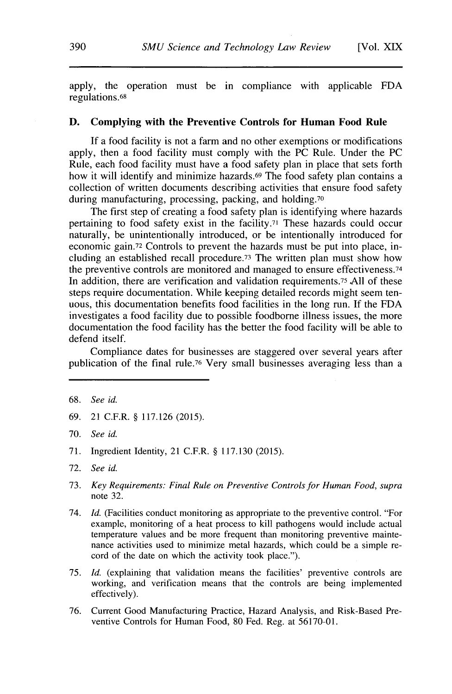apply, the operation must be in compliance with applicable **FDA** regulations.68

#### **D. Complying with the Preventive Controls for Human Food Rule**

**If** a food facility is not a farm and no other exemptions or modifications apply, then a food facility must comply with the **PC** Rule. Under the **PC** Rule, each food facility must have a food safety plan in place that sets forth how it will identify and minimize hazards.<sup>69</sup> The food safety plan contains a collection of written documents describing activities that ensure food safety during manufacturing, processing, packing, and holding.70

The first step of creating a food safety plan is identifying where hazards pertaining to food safety exist in the facility.71 These hazards could occur naturally, be unintentionally introduced, or be intentionally introduced for economic gain.72 Controls to prevent the hazards must be put into place, including an established recall procedure.73 The written plan must show how the preventive controls are monitored and managed to ensure effectiveness.74 In addition, there are verification and validation requirements.75 **All** of these steps require documentation. While keeping detailed records might seem tenuous, this documentation benefits food facilities in the long run. **If** the **FDA** investigates a food facility due to possible foodborne illness issues, the more documentation the food facility has the better the food facility will be able to defend itself.

Compliance dates for businesses are staggered over several years after publication of the final rule.76 Very small businesses averaging less than a

- **69.** 21 C.F.R. **§ 117.126** *(2015).*
- **70.** *See id.*
- **71.** Ingredient Identity, 21 C.F.R. **§ 117.130 (2015).**
- **72.** *See id.*
- **73.** *Key Requirements: Final Rule on Preventive Controls for Human Food, supra* note **32.**
- 74. *Id.* (Facilities conduct monitoring as appropriate to the preventive control. "For example, monitoring of a heat process to kill pathogens would include actual temperature values and be more frequent than monitoring preventive maintenance activities used to minimize metal hazards, which could be a simple record of the date on which the activity took place.").
- *75. Id.* (explaining that validation means the facilities' preventive controls are working, and verification means that the controls are being implemented effectively).
- *76.* Current Good Manufacturing Practice, Hazard Analysis, and Risk-Based Preventive Controls for Human Food, **80** Fed. Reg. at **56170-01.**

**<sup>68.</sup>** *See id.*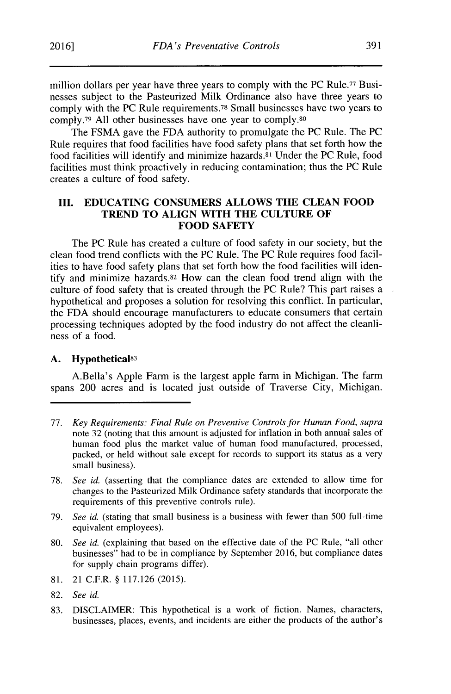million dollars per year have three years to comply with the **PC** Rule.77 Businesses subject to the Pasteurized Milk Ordinance also have three years to comply with the **PC** Rule requirements.78 Small businesses have two years to **comply.79 All** other businesses have one year to comply.80

The **FSMA** gave the **FDA** authority to promulgate the **PC** Rule. The **PC** Rule requires that food facilities have food safety plans that set forth how the food facilities will identify and minimize hazards. <sup>8</sup> 1 Under the **PC** Rule, food facilities must think proactively in reducing contamination; thus the **PC** Rule creates a culture of food safety.

#### **III. EDUCATING CONSUMERS ALLOWS THE CLEAN FOOD TREND TO ALIGN WITH THE CULTURE OF FOOD SAFETY**

The **PC** Rule has created a culture of food safety in our society, but the clean food trend conflicts with the **PC** Rule. The **PC** Rule requires food facilities to have food safety plans that set forth how the food facilities will identify and minimize hazards.<sup>82</sup> How can the clean food trend align with the culture of food safety that is created through the **PC** Rule? This part raises a hypothetical and proposes a solution for resolving this conflict. In particular, the **FDA** should encourage manufacturers to educate consumers that certain processing techniques adopted **by** the food industry do not affect the cleanliness of a food.

#### **A. Hypothetical83**

A.Bella's Apple Farm is the largest apple farm in Michigan. The farm spans 200 acres and is located just outside of Traverse City, Michigan.

- *77. Key Requirements: Final Rule on Preventive Controls for Human Food, supra* note **32** (noting that this amount is adjusted for inflation in both annual sales of human food plus the market value of human food manufactured, processed, packed, or held without sale except for records to support its status as a very small business).
- **78.** *See id.* (asserting that the compliance dates are extended to allow time for changes to the Pasteurized Milk Ordinance safety standards that incorporate the requirements of this preventive controls rule).
- **79.** *See id.* (stating that small business is a business with fewer than **500** full-time equivalent employees).
- **80.** *See id.* (explaining that based on the effective date of the **PC** Rule, "all other businesses" had to be in compliance **by** September **2016,** but compliance dates for supply chain programs differ).
- **81.** 21 C.F.R. **§ 117.126 (2015).**
- **82.** *See id.*
- **83.** DISCLAIMER: This hypothetical is a work of fiction. Names, characters, businesses, places, events, and incidents are either the products of the author's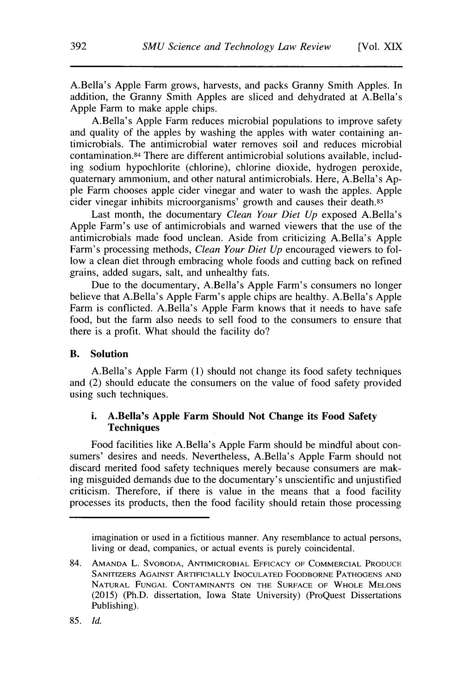A.Bella's Apple Farm grows, harvests, and packs Granny Smith Apples. In addition, the Granny Smith Apples are sliced and dehydrated at A.Bella's Apple Farm to make apple chips.

A.Bella's Apple Farm reduces microbial populations to improve safety and quality of the apples **by** washing the apples with water containing antimicrobials. The antimicrobial water removes soil and reduces microbial contamination.84 There are different antimicrobial solutions available, including sodium hypochlorite (chlorine), chlorine dioxide, hydrogen peroxide, quaternary ammonium, and other natural antimicrobials. Here, A.Bella's **Ap**ple Farm chooses apple cider vinegar and water to wash the apples. Apple cider vinegar inhibits microorganisms' growth and causes their death.85

Last month, the documentary *Clean Your Diet Up* exposed A.Bella's Apple Farm's use of antimicrobials and warned viewers that the use of the antimicrobials made food unclean. Aside from criticizing A.Bella's Apple Farm's processing methods, *Clean Your Diet Up* encouraged viewers to follow a clean diet through embracing whole foods and cutting back on refined grains, added sugars, salt, and unhealthy fats.

Due to the documentary, A.Bella's Apple Farm's consumers no longer believe that A.Bella's Apple Farm's apple chips are healthy. A.Bella's Apple Farm is conflicted. A.Bella's Apple Farm knows that it needs to have safe food, but the farm also needs to sell food to the consumers to ensure that there is a profit. What should the facility do?

#### B. **Solution**

A.Bella's Apple Farm **(1)** should not change its food safety techniques and (2) should educate the consumers on the value of food safety provided using such techniques.

# **i. A.Bella's Apple Farm Should Not Change its Food Safety Techniques**

**Food** facilities like A.Bella's Apple Farm should be mindful about consumers' desires and needs. Nevertheless, A.Bella's Apple Farm should not discard merited food safety techniques merely because consumers are making misguided demands due to the documentary's unscientific and unjustified criticism. Therefore, if there is value in the means that a food facility processes its products, then the food facility should retain those processing

imagination or used in a fictitious manner. Any resemblance to actual persons, living or dead, companies, or actual events is purely coincidental.

<sup>84.</sup> **AMANDA** L. SVOBODA, **ANTIMICROBIAL EFFICACY OF COMMERCIAL PRODUCE SANITIZERS AGAINST ARTIFICIALLY INOCULATED FOODBORNE PATHOGENS AND NATURAL FUNGAL CONTAMINANTS ON THE SURFACE OF WHOLE MELONS (2015)** (Ph.D. dissertation, Iowa State University) (ProQuest Dissertations Publishing).

*<sup>85.</sup> Id.*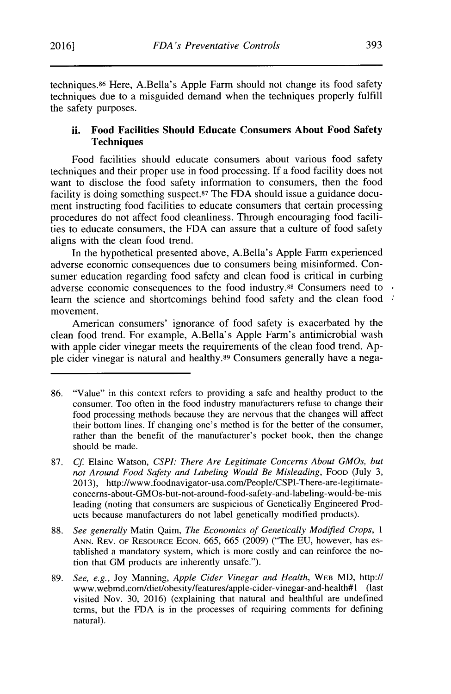techniques.86 Here, A.Bella's Apple Farm should not change its food safety techniques due to a misguided demand when the techniques properly fulfill the safety purposes.

# **ii. Food Facilities Should Educate Consumers About Food Safety Techniques**

Food facilities should educate consumers about various food safety techniques and their proper use in food processing. **If** a food facility does not want to disclose the food safety information to consumers, then the food facility is doing something suspect.<sup>87</sup>The **FDA** should issue a guidance document instructing food facilities to educate consumers that certain processing procedures do not affect food cleanliness. Through encouraging food facilities to educate consumers, the **FDA** can assure that a culture of food safety aligns with the clean food trend.

In the hypothetical presented above, A.Bella's Apple Farm experienced adverse economic consequences due to consumers being misinformed. Consumer education regarding food safety and clean food is critical in curbing adverse economic consequences to the food industry.88 Consumers need to learn the science and shortcomings behind food safety and the clean food movement.

American consumers' ignorance of food safety is exacerbated **by** the clean food trend. For example, A.Bella's Apple Farm's antimicrobial wash with apple cider vinegar meets the requirements of the clean food trend. Apple cider vinegar is natural and healthy.<sup>89</sup> Consumers generally have a nega-

**<sup>86.</sup>** "Value" in this context refers to providing a safe and healthy product to the consumer. Too often in the food industry manufacturers refuse to change their food processing methods because they are nervous that the changes will affect their bottom lines. If changing one's method is for the better of the consumer, rather than the benefit of the manufacturer's pocket book, then the change should be made.

**<sup>87.</sup>** *Cf* Elaine Watson, *CSPI: There Are Legitimate Concerns About GMOs, but not Around Food Safety and Labeling Would Be Misleading, Food (July 3, not Around Food Safety and Labeling Would Be Misleading, Food (July 3,* **2013),** http://www.foodnavigator-usa.com/People/CSPI-There-are-legitimateconcerns-about-GMOs-but-not-around-food-safety-and-labeling-would-be-mis leading (noting that consumers are suspicious of Genetically Engineered Products because manufacturers do not label genetically modified products).

**<sup>88.</sup>** *See generally* Matin Qaim, *The Economics of Genetically Modified Crops,* <sup>1</sup> **ANN. REV.** OF RESOURCE **ECON.** *665,* **665 (2009)** ("The **EU,** however, has established a mandatory system, which is more costly and can reinforce the notion that **GM** products are inherently unsafe.").

**<sup>89.</sup>** *See, e.g.,* Joy Manning, *Apple Cider Vinegar and Health,* WEB MD, http:// www.webmd.com/diet/obesity/features/apple-cider-vinegar-and-health#1 (last visited Nov. **30, 2016)** (explaining that natural and healthful are undefined terms, but the **FDA** is in the processes of requiring comments for defining natural).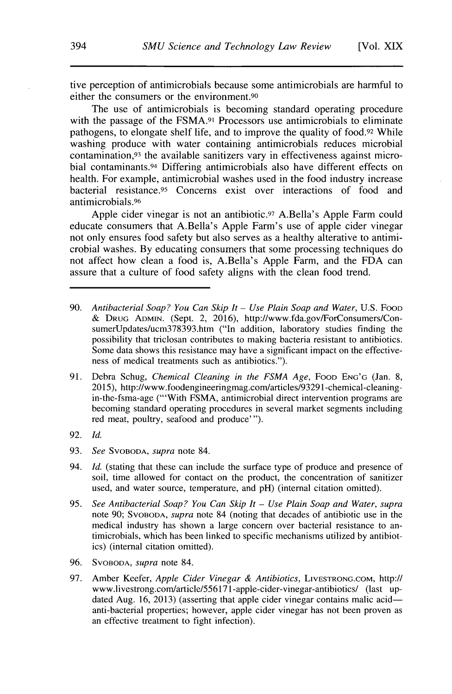tive perception of antimicrobials because some antimicrobials are harmful to either the consumers or the environment.90

The use of antimicrobials is becoming standard operating procedure with the passage of the **FSMA.91** Processors use antimicrobials to eliminate pathogens, to elongate shelf life, and to improve the quality of food.92 While washing produce with water containing antimicrobials reduces microbial contamination,93 the available sanitizers vary in effectiveness against microbial contaminants.94 Differing antimicrobials also have different effects on health. For example, antimicrobial washes used in the food industry increase bacterial resistance.95 Concerns exist over interactions of food and antimicrobials.96

Apple cider vinegar is not an antibiotic.97 A.Bella's **Apple** Farm could educate consumers that A.Bella's Apple Farm's use of apple cider vinegar not only ensures food safety but also serves as a healthy alterative to antimicrobial washes. **By** educating consumers that some processing techniques do not affect how clean a food is, A.Bella's Apple Farm, and the **FDA** can assure that a culture of food safety aligns with the clean food trend.

- **90.** *Antibacterial Soap? You Can Skip It* **-** *Use Plain Soap and Water,* **U.S.** FOOD **& DRUG ADMIN.** (Sept. 2, **2016),** http://www.fda.gov/ForConsumers/ConsumerUpdates/ucm378393.htm ("In addition, laboratory studies finding the possibility that triclosan contributes to making bacteria resistant to antibiotics. Some data shows this resistance may have a significant impact on the effectiveness of medical treatments such as antibiotics.").
- **91.** Debra Schug, *Chemical Cleaning in the FSMA Age,* FOOD **ENG'G** (Jan. **8, 2015),** http://www.foodengineeringmag.com/articles/93291-chemical-cleaningin-the-fsma-age ("'With **FSMA,** antimicrobial direct intervention programs are becoming standard operating procedures in several market segments including red meat, poultry, seafood and produce' ").
- **92.** *Id.*
- **93.** *See SVOBODA, supra* note 84.
- 94. *Id.* (stating that these can include the surface type of produce and presence of soil, time allowed for contact on the product, the concentration of sanitizer used, and water source, temperature, and **pH)** (internal citation omitted).
- **95.** *See Antibacterial Soap? You Can Skip It* **-** *Use Plain Soap and Water, supra* note **90;** SVOBODA, *supra* note 84 (noting that decades of antibiotic use in the medical industry has shown a large concern over bacterial resistance to antimicrobials, which has been linked to specific mechanisms utilized **by** antibiotics) (internal citation omitted).
- **96.** SVOBODA, *supra* note 84.
- **97.** Amber Keefer, *Apple Cider Vinegar & Antibiotics,* LIVESTRONG.COM, http:// www.livestrong.com/article/556171-apple-cider-vinegar-antibiotics/ (last updated Aug. 16, 2013) (asserting that apple cider vinegar contains malic acidanti-bacterial properties; however, apple cider vinegar has not been proven as an effective treatment to fight infection).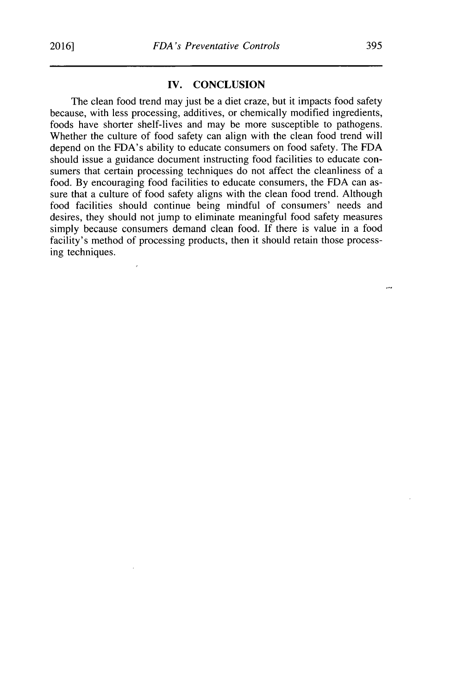#### **IV. CONCLUSION**

The clean food trend may just be a diet craze, but it impacts food safety because, with less processing, additives, or chemically modified ingredients, foods have shorter shelf-lives and may be more susceptible to pathogens. Whether the culture of food safety can align with the clean food trend will depend on the FDA's ability to educate consumers on food safety. The **FDA** should issue a guidance document instructing food facilities to educate consumers that certain processing techniques do not affect the cleanliness of a food. **By** encouraging food facilities to educate consumers, the **FDA** can assure that a culture of food safety aligns with the clean food trend. Although food facilities should continue being mindful of consumers' needs and desires, they should not jump to eliminate meaningful food safety measures simply because consumers demand clean food. **If** there is value in a food facility's method of processing products, then it should retain those processing techniques.

 $\ddotsc$